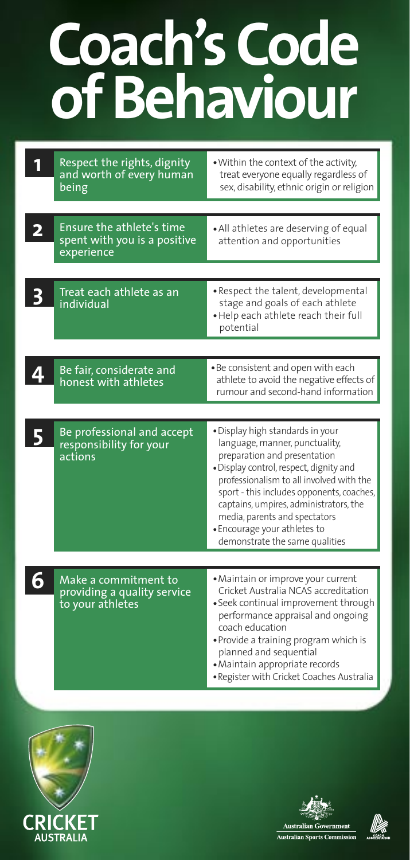## **Coach's Code of Behaviour**

| $\overline{\mathbf{2}}$ | Respect the rights, dignity<br>and worth of every human<br>being<br>Ensure the athlete's time<br>spent with you is a positive | . Within the context of the activity,<br>treat everyone equally regardless of<br>sex, disability, ethnic origin or religion<br>• All athletes are deserving of equal<br>attention and opportunities                                                                                                                                                                                 |
|-------------------------|-------------------------------------------------------------------------------------------------------------------------------|-------------------------------------------------------------------------------------------------------------------------------------------------------------------------------------------------------------------------------------------------------------------------------------------------------------------------------------------------------------------------------------|
|                         | experience                                                                                                                    |                                                                                                                                                                                                                                                                                                                                                                                     |
|                         | Treat each athlete as an<br>individual                                                                                        | · Respect the talent, developmental<br>stage and goals of each athlete<br>. Help each athlete reach their full<br>potential                                                                                                                                                                                                                                                         |
|                         |                                                                                                                               |                                                                                                                                                                                                                                                                                                                                                                                     |
|                         | Be fair, considerate and<br>honest with athletes                                                                              | . Be consistent and open with each<br>athlete to avoid the negative effects of<br>rumour and second-hand information                                                                                                                                                                                                                                                                |
|                         |                                                                                                                               |                                                                                                                                                                                                                                                                                                                                                                                     |
|                         | Be professional and accept<br>responsibility for your<br>actions                                                              | · Display high standards in your<br>language, manner, punctuality,<br>preparation and presentation<br>· Display control, respect, dignity and<br>professionalism to all involved with the<br>sport - this includes opponents, coaches,<br>captains, umpires, administrators, the<br>media, parents and spectators<br>· Encourage your athletes to<br>demonstrate the same qualities |
|                         |                                                                                                                               |                                                                                                                                                                                                                                                                                                                                                                                     |
| 6                       | Make a commitment to<br>providing a quality service<br>to your athletes                                                       | · Maintain or improve your current<br>Cricket Australia NCAS accreditation<br>· Seek continual improvement through<br>performance appraisal and ongoing<br>coach education<br>· Provide a training program which is<br>planned and sequential<br>· Maintain appropriate records<br>· Register with Cricket Coaches Australia                                                        |